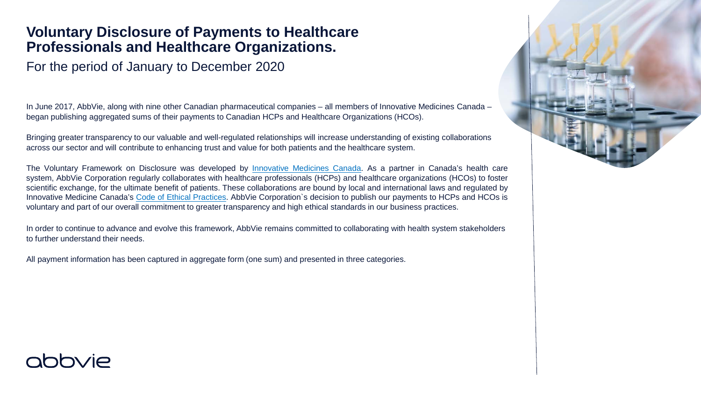## **Voluntary Disclosure of Payments to Healthcare Professionals and Healthcare Organizations.**

For the period of January to December 2020

In June 2017, AbbVie, along with nine other Canadian pharmaceutical companies – all members of Innovative Medicines Canada – began publishing aggregated sums of their payments to Canadian HCPs and Healthcare Organizations (HCOs).

Bringing greater transparency to our valuable and well-regulated relationships will increase understanding of existing collaborations across our sector and will contribute to enhancing trust and value for both patients and the healthcare system.

The Voluntary Framework on Disclosure was developed by *Innovative Medicines Canada*. As a partner in Canada's health care system, AbbVie Corporation regularly collaborates with healthcare professionals (HCPs) and healthcare organizations (HCOs) to foster scientific exchange, for the ultimate benefit of patients. These collaborations are bound by local and international laws and regulated by Innovative Medicine Canada's Code of [Ethical Practices.](http://innovativemedicines.ca/wp-content/uploads/2019/12/IMC-EthicalPractices-2020-web-lowres-EN.pdf) AbbVie Corporation`s decision to publish our payments to HCPs and HCOs is voluntary and part of our overall commitment to greater transparency and high ethical standards in our business practices.

In order to continue to advance and evolve this framework, AbbVie remains committed to collaborating with health system stakeholders to further understand their needs.

All payment information has been captured in aggregate form (one sum) and presented in three categories.



## **ODOVIA**